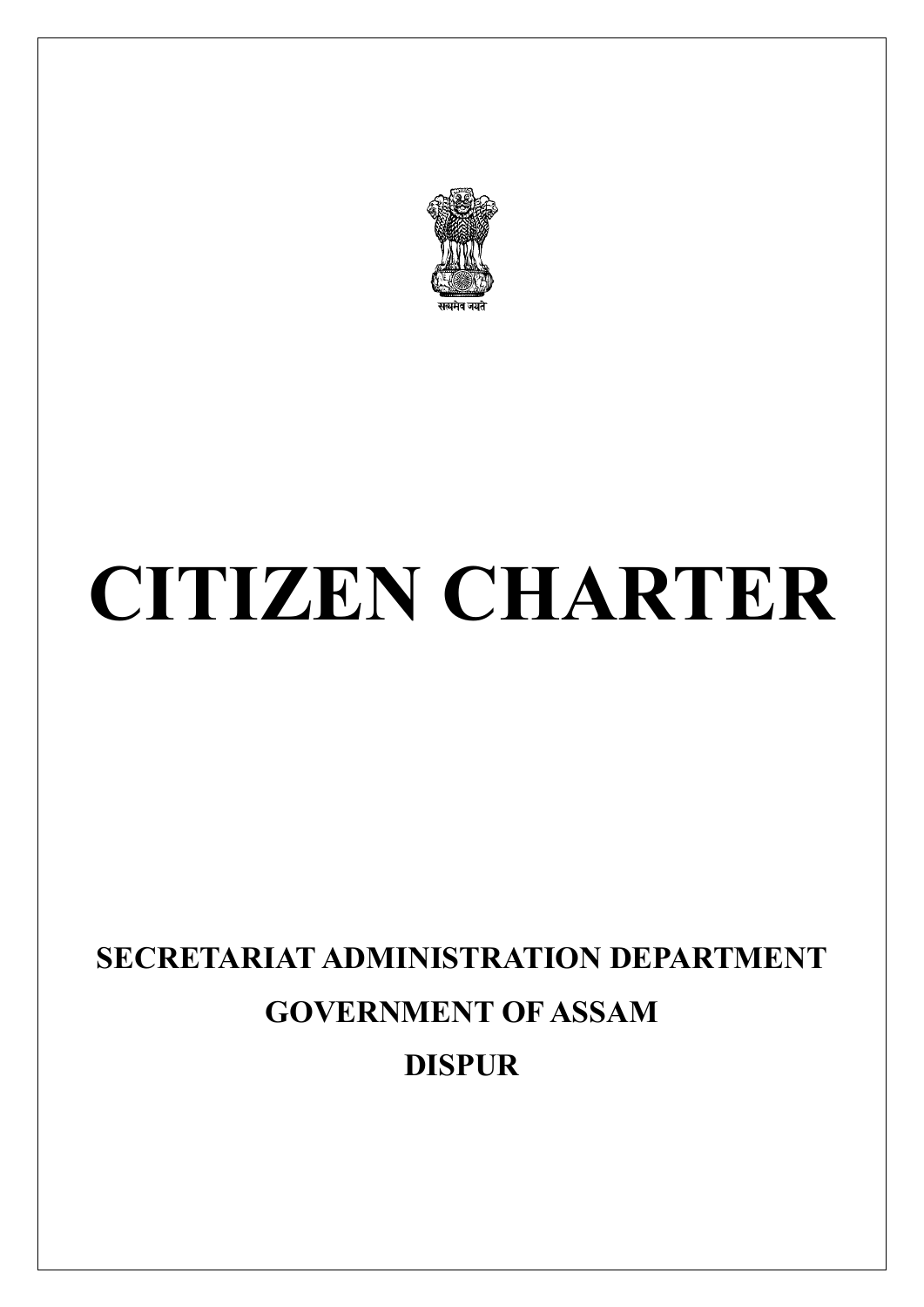

# **CITIZEN CHARTER**

# **SECRETARIAT ADMINISTRATION DEPARTMENT GOVERNMENT OF ASSAM DISPUR**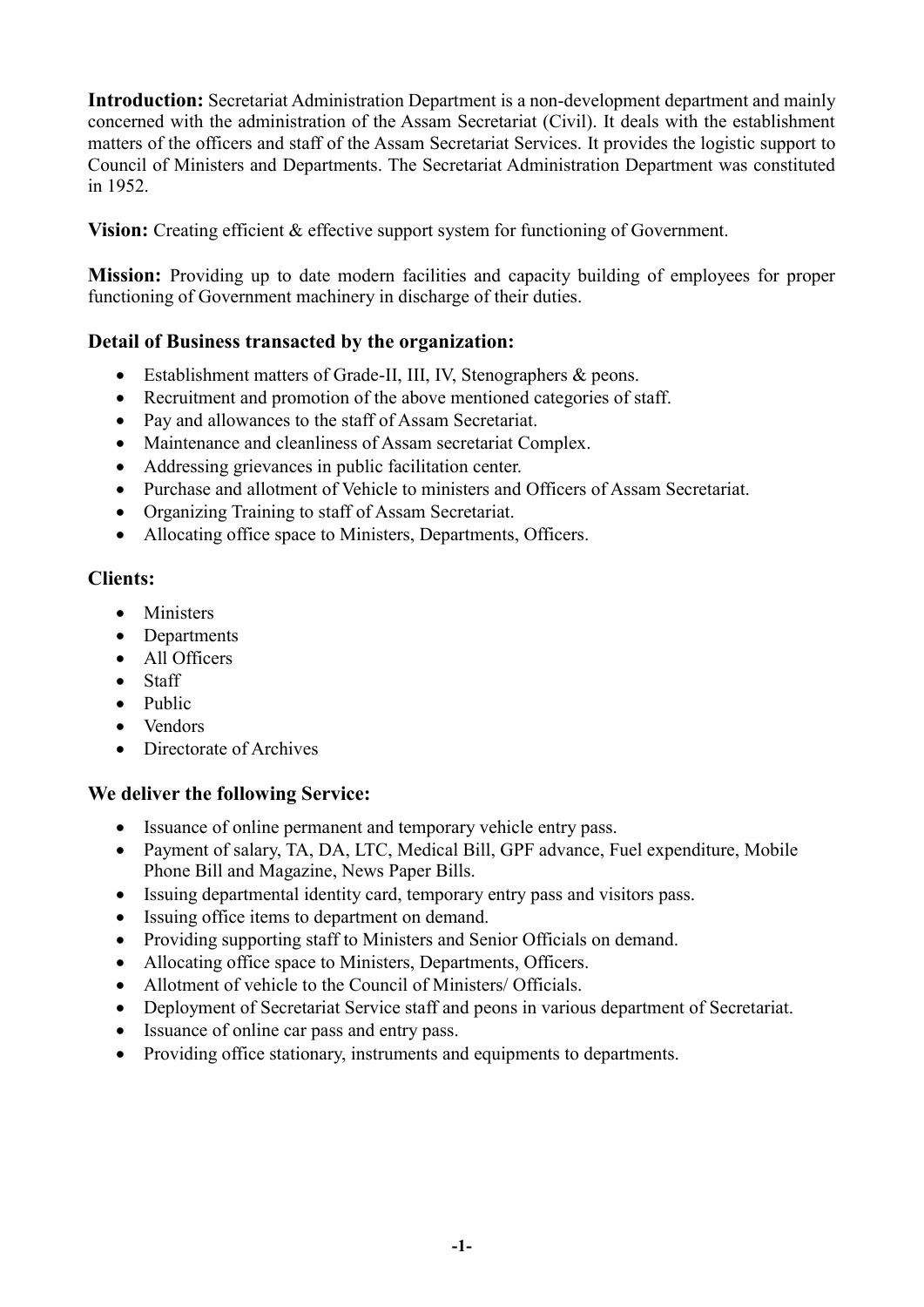**Introduction:** Secretariat Administration Department is a non-development department and mainly concerned with the administration of the Assam Secretariat (Civil). It deals with the establishment matters of the officers and staff of the Assam Secretariat Services. It provides the logistic support to Council of Ministers and Departments. The Secretariat Administration Department was constituted in 1952.

**Vision:** Creating efficient & effective support system for functioning of Government.

**Mission:** Providing up to date modern facilities and capacity building of employees for proper functioning of Government machinery in discharge of their duties.

# **Detail of Business transacted by the organization:**

- Establishment matters of Grade-II, III, IV, Stenographers & peons.
- Recruitment and promotion of the above mentioned categories of staff.
- Pay and allowances to the staff of Assam Secretariat.
- Maintenance and cleanliness of Assam secretariat Complex.
- Addressing grievances in public facilitation center.
- Purchase and allotment of Vehicle to ministers and Officers of Assam Secretariat.
- Organizing Training to staff of Assam Secretariat.
- Allocating office space to Ministers, Departments, Officers.

## **Clients:**

- Ministers
- Departments
- All Officers
- Staff
- Public
- Vendors
- Directorate of Archives

# **We deliver the following Service:**

- Issuance of online permanent and temporary vehicle entry pass.
- Payment of salary, TA, DA, LTC, Medical Bill, GPF advance, Fuel expenditure, Mobile Phone Bill and Magazine, News Paper Bills.
- Issuing departmental identity card, temporary entry pass and visitors pass.
- Issuing office items to department on demand.
- Providing supporting staff to Ministers and Senior Officials on demand.
- Allocating office space to Ministers, Departments, Officers.
- Allotment of vehicle to the Council of Ministers/ Officials.
- Deployment of Secretariat Service staff and peons in various department of Secretariat.
- Issuance of online car pass and entry pass.
- Providing office stationary, instruments and equipments to departments.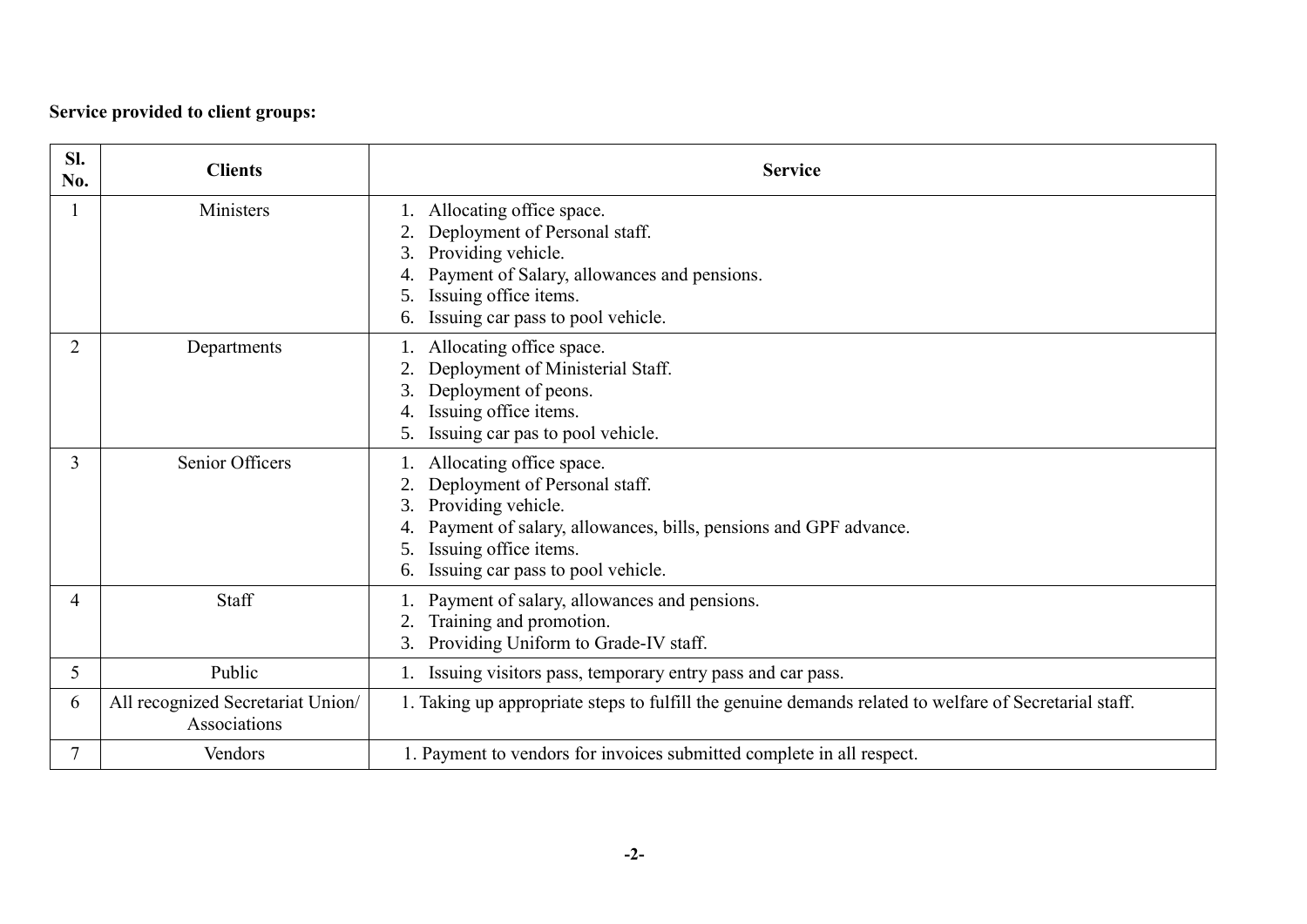# **Service provided to client groups:**

| SI.<br>No.     | <b>Clients</b>                                    | <b>Service</b>                                                                                                                                                                                                                        |
|----------------|---------------------------------------------------|---------------------------------------------------------------------------------------------------------------------------------------------------------------------------------------------------------------------------------------|
|                | Ministers                                         | Allocating office space.<br>Deployment of Personal staff.<br>Providing vehicle.<br>Payment of Salary, allowances and pensions.<br>Issuing office items.<br>Issuing car pass to pool vehicle.<br>6.                                    |
| 2              | Departments                                       | 1. Allocating office space.<br>Deployment of Ministerial Staff.<br>Deployment of peons.<br>3.<br>Issuing office items.<br>Issuing car pas to pool vehicle.<br>5.                                                                      |
| 3              | Senior Officers                                   | 1. Allocating office space.<br>Deployment of Personal staff.<br>Providing vehicle.<br>3.<br>Payment of salary, allowances, bills, pensions and GPF advance.<br>Issuing office items.<br>5.<br>Issuing car pass to pool vehicle.<br>6. |
| $\overline{4}$ | Staff                                             | 1. Payment of salary, allowances and pensions.<br>Training and promotion.<br>3. Providing Uniform to Grade-IV staff.                                                                                                                  |
| 5              | Public                                            | Issuing visitors pass, temporary entry pass and car pass.                                                                                                                                                                             |
| 6              | All recognized Secretariat Union/<br>Associations | 1. Taking up appropriate steps to fulfill the genuine demands related to welfare of Secretarial staff.                                                                                                                                |
| $\overline{7}$ | Vendors                                           | 1. Payment to vendors for invoices submitted complete in all respect.                                                                                                                                                                 |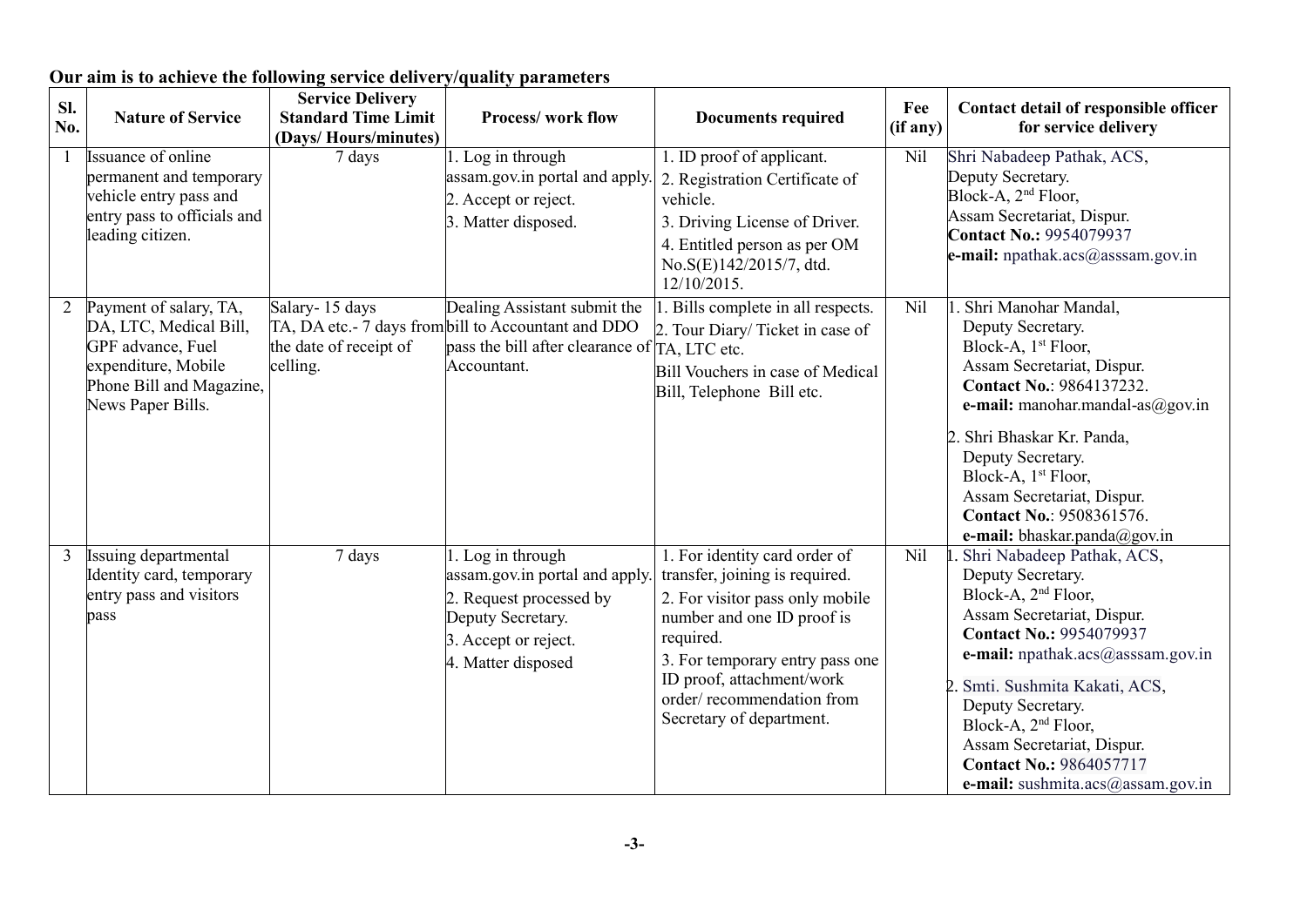| SI.            |                             | <b>Service Delivery</b>    |                                                     |                                                        | Fee      | Contact detail of responsible officer                |
|----------------|-----------------------------|----------------------------|-----------------------------------------------------|--------------------------------------------------------|----------|------------------------------------------------------|
| No.            | <b>Nature of Service</b>    | <b>Standard Time Limit</b> | <b>Process/work flow</b>                            | <b>Documents required</b>                              | (if any) | for service delivery                                 |
|                |                             | (Days/Hours/minutes)       |                                                     |                                                        |          |                                                      |
|                | Issuance of online          | 7 days                     | 1. Log in through                                   | 1. ID proof of applicant.                              | Nil      | Shri Nabadeep Pathak, ACS,                           |
|                | permanent and temporary     |                            | assam.gov.in portal and apply.                      | 2. Registration Certificate of                         |          | Deputy Secretary.                                    |
|                | vehicle entry pass and      |                            | 2. Accept or reject.                                | vehicle.                                               |          | Block-A, 2 <sup>nd</sup> Floor,                      |
|                | entry pass to officials and |                            | 3. Matter disposed.                                 | 3. Driving License of Driver.                          |          | Assam Secretariat, Dispur.                           |
|                | leading citizen.            |                            |                                                     | 4. Entitled person as per OM                           |          | <b>Contact No.: 9954079937</b>                       |
|                |                             |                            |                                                     | No.S(E)142/2015/7, dtd.                                |          | e-mail: $npathak.acs@asssam.gov.in$                  |
|                |                             |                            |                                                     | 12/10/2015.                                            |          |                                                      |
| $\overline{2}$ | Payment of salary, TA,      | Salary-15 days             | Dealing Assistant submit the                        | 1. Bills complete in all respects.                     | Nil      | 1. Shri Manohar Mandal,                              |
|                | DA, LTC, Medical Bill,      |                            | TA, DA etc.- 7 days from bill to Accountant and DDO | 2. Tour Diary/Ticket in case of                        |          | Deputy Secretary.                                    |
|                | GPF advance, Fuel           | the date of receipt of     | pass the bill after clearance of                    | TA, LTC etc.                                           |          | Block-A, 1 <sup>st</sup> Floor,                      |
|                | expenditure, Mobile         | celling.                   | Accountant.                                         | Bill Vouchers in case of Medical                       |          | Assam Secretariat, Dispur.                           |
|                | Phone Bill and Magazine,    |                            |                                                     | Bill, Telephone Bill etc.                              |          | Contact No.: 9864137232.                             |
|                | News Paper Bills.           |                            |                                                     |                                                        |          | e-mail: manohar.mandal-as $@g$ ov.in                 |
|                |                             |                            |                                                     |                                                        |          | 2. Shri Bhaskar Kr. Panda,                           |
|                |                             |                            |                                                     |                                                        |          | Deputy Secretary.                                    |
|                |                             |                            |                                                     |                                                        |          | Block-A, 1st Floor,                                  |
|                |                             |                            |                                                     |                                                        |          | Assam Secretariat, Dispur.                           |
|                |                             |                            |                                                     |                                                        |          | <b>Contact No.: 9508361576.</b>                      |
|                |                             |                            |                                                     |                                                        |          | e-mail: bhaskar.panda@gov.in                         |
| 3              | Issuing departmental        | 7 days                     | 1. Log in through                                   | 1. For identity card order of                          | Nil      | Shri Nabadeep Pathak, ACS,                           |
|                | Identity card, temporary    |                            | assam.gov.in portal and apply                       | transfer, joining is required.                         |          | Deputy Secretary.<br>Block-A, 2 <sup>nd</sup> Floor, |
|                | entry pass and visitors     |                            | 2. Request processed by                             | 2. For visitor pass only mobile                        |          | Assam Secretariat, Dispur.                           |
|                | pass                        |                            | Deputy Secretary.                                   | number and one ID proof is                             |          | <b>Contact No.: 9954079937</b>                       |
|                |                             |                            | 3. Accept or reject.                                | required.                                              |          | e-mail: npathak.acs@asssam.gov.in                    |
|                |                             |                            | 4. Matter disposed                                  | 3. For temporary entry pass one                        |          |                                                      |
|                |                             |                            |                                                     | ID proof, attachment/work<br>order/recommendation from |          | 2. Smti. Sushmita Kakati, ACS,                       |
|                |                             |                            |                                                     | Secretary of department.                               |          | Deputy Secretary.                                    |
|                |                             |                            |                                                     |                                                        |          | Block-A, 2 <sup>nd</sup> Floor,                      |
|                |                             |                            |                                                     |                                                        |          | Assam Secretariat, Dispur.                           |
|                |                             |                            |                                                     |                                                        |          | <b>Contact No.: 9864057717</b>                       |
|                |                             |                            |                                                     |                                                        |          | e-mail: sushmita.acs $@$ assam.gov.in                |

# **Our aim is to achieve the following service delivery/quality parameters**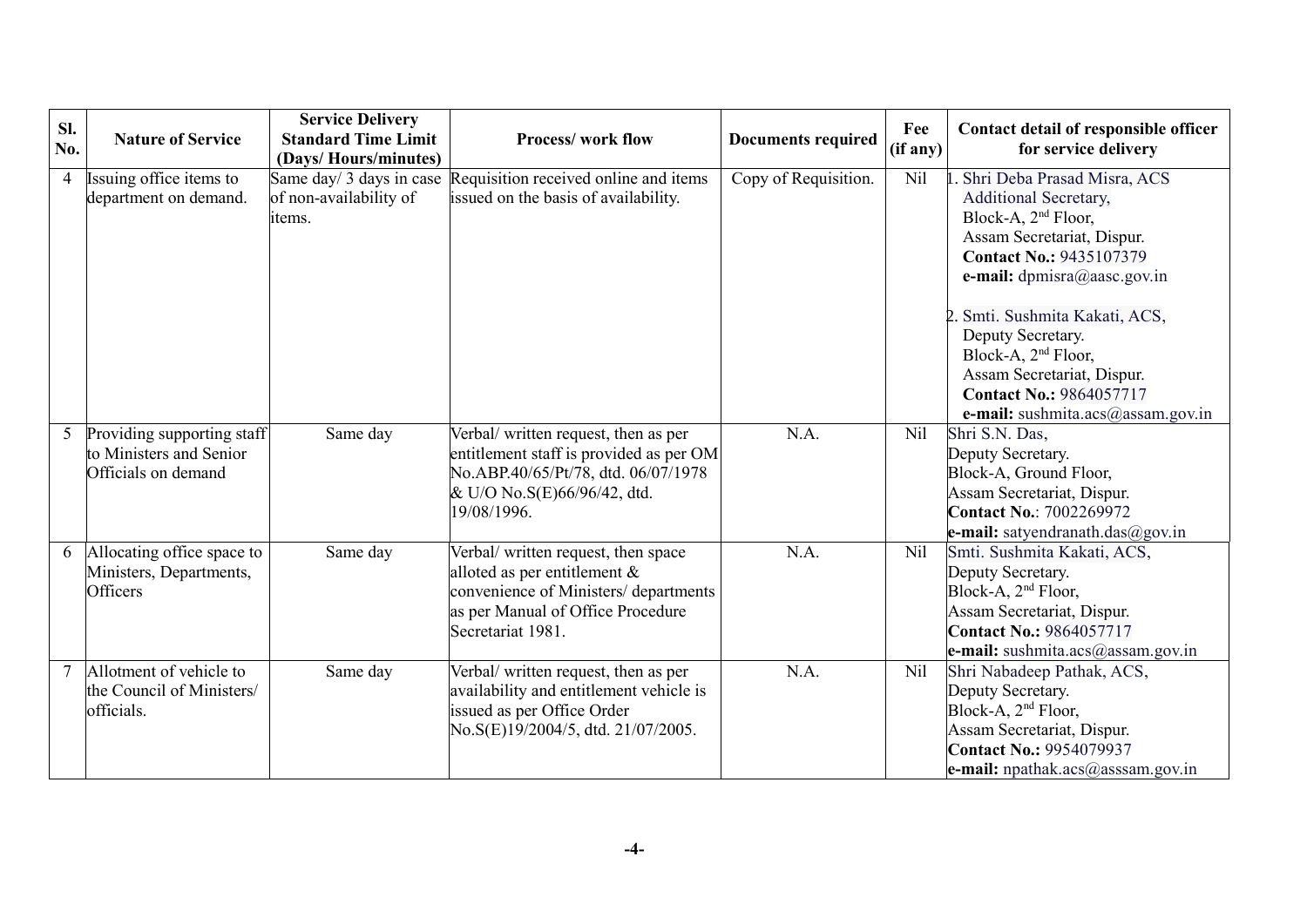| SI.            | <b>Nature of Service</b>            | <b>Service Delivery</b><br><b>Standard Time Limit</b> | <b>Process/work flow</b>                                                   | <b>Documents required</b> | Fee      | Contact detail of responsible officer                         |
|----------------|-------------------------------------|-------------------------------------------------------|----------------------------------------------------------------------------|---------------------------|----------|---------------------------------------------------------------|
| No.            |                                     | (Days/Hours/minutes)                                  |                                                                            |                           | (if any) | for service delivery                                          |
| $\overline{4}$ | Issuing office items to             | Same day/ 3 days in case                              | Requisition received online and items                                      | Copy of Requisition.      | Nil      | Shri Deba Prasad Misra, ACS                                   |
|                | department on demand.               | of non-availability of                                | issued on the basis of availability.                                       |                           |          | <b>Additional Secretary,</b>                                  |
|                |                                     | items.                                                |                                                                            |                           |          | Block-A, 2 <sup>nd</sup> Floor,                               |
|                |                                     |                                                       |                                                                            |                           |          | Assam Secretariat, Dispur.                                    |
|                |                                     |                                                       |                                                                            |                           |          | <b>Contact No.: 9435107379</b>                                |
|                |                                     |                                                       |                                                                            |                           |          | e-mail: dpmisra@aasc.gov.in                                   |
|                |                                     |                                                       |                                                                            |                           |          | 2. Smti. Sushmita Kakati, ACS,                                |
|                |                                     |                                                       |                                                                            |                           |          | Deputy Secretary.                                             |
|                |                                     |                                                       |                                                                            |                           |          | Block-A, 2 <sup>nd</sup> Floor,                               |
|                |                                     |                                                       |                                                                            |                           |          | Assam Secretariat, Dispur.                                    |
|                |                                     |                                                       |                                                                            |                           |          | <b>Contact No.: 9864057717</b>                                |
|                |                                     |                                                       |                                                                            |                           |          | e-mail: sushmita.acs@assam.gov.in                             |
| 5              | Providing supporting staff          | Same day                                              | Verbal/ written request, then as per                                       | N.A.                      | Nil      | Shri S.N. Das,                                                |
|                | to Ministers and Senior             |                                                       | entitlement staff is provided as per OM                                    |                           |          | Deputy Secretary.                                             |
|                | Officials on demand                 |                                                       | No.ABP.40/65/Pt/78, dtd. 06/07/1978                                        |                           |          | Block-A, Ground Floor,                                        |
|                |                                     |                                                       | & U/O No.S(E)66/96/42, dtd.                                                |                           |          | Assam Secretariat, Dispur.                                    |
|                |                                     |                                                       | 19/08/1996.                                                                |                           |          | <b>Contact No.: 7002269972</b>                                |
|                |                                     |                                                       |                                                                            |                           |          | e-mail: satyendranath.das@gov.in                              |
| 6              | Allocating office space to          | Same day                                              | Verbal/ written request, then space                                        | N.A.                      | Nil      | Smti. Sushmita Kakati, ACS,                                   |
|                | Ministers, Departments,<br>Officers |                                                       | alloted as per entitlement $\&$                                            |                           |          | Deputy Secretary.                                             |
|                |                                     |                                                       | convenience of Ministers/ departments<br>as per Manual of Office Procedure |                           |          | Block-A, 2 <sup>nd</sup> Floor,<br>Assam Secretariat, Dispur. |
|                |                                     |                                                       | Secretariat 1981.                                                          |                           |          | <b>Contact No.: 9864057717</b>                                |
|                |                                     |                                                       |                                                                            |                           |          | e-mail: sushmita.acs@assam.gov.in                             |
|                | Allotment of vehicle to             | Same day                                              | Verbal/ written request, then as per                                       | N.A.                      | Nil      | Shri Nabadeep Pathak, ACS,                                    |
|                | the Council of Ministers/           |                                                       | availability and entitlement vehicle is                                    |                           |          | Deputy Secretary.                                             |
|                | officials.                          |                                                       | issued as per Office Order                                                 |                           |          | Block-A, 2 <sup>nd</sup> Floor,                               |
|                |                                     |                                                       | No.S(E)19/2004/5, dtd. 21/07/2005.                                         |                           |          | Assam Secretariat, Dispur.                                    |
|                |                                     |                                                       |                                                                            |                           |          | <b>Contact No.: 9954079937</b>                                |
|                |                                     |                                                       |                                                                            |                           |          | <b>e-mail:</b> npathak.acs@asssam.gov.in                      |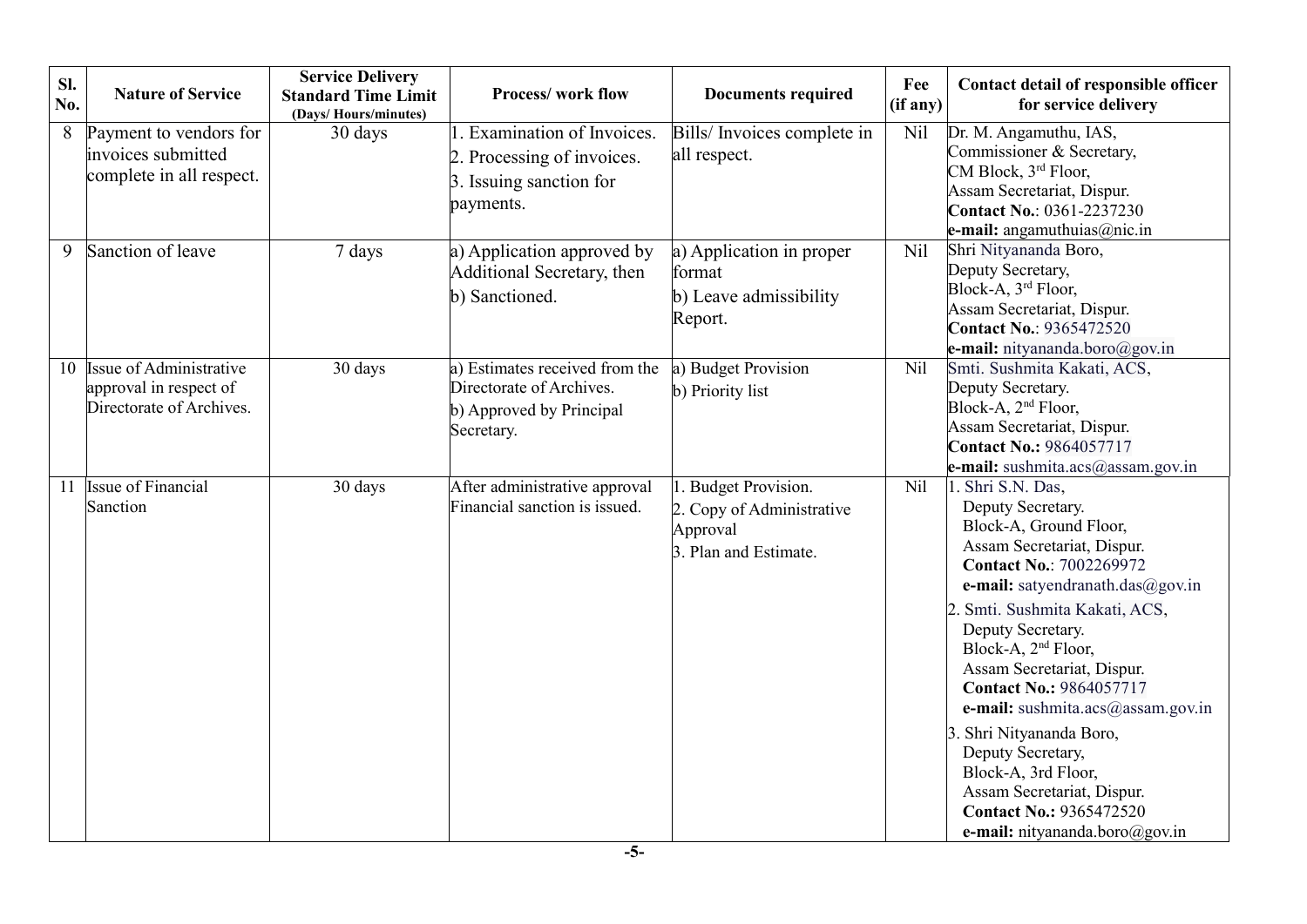| SI.<br>No. | <b>Nature of Service</b>                                                      | <b>Service Delivery</b><br><b>Standard Time Limit</b><br>(Days/Hours/minutes) | <b>Process/work flow</b>                                                                             | <b>Documents required</b>                                                                  | Fee<br>(if any) | Contact detail of responsible officer<br>for service delivery                                                                                                                                                                                                                                                                                                                                                                                                                                                                                 |
|------------|-------------------------------------------------------------------------------|-------------------------------------------------------------------------------|------------------------------------------------------------------------------------------------------|--------------------------------------------------------------------------------------------|-----------------|-----------------------------------------------------------------------------------------------------------------------------------------------------------------------------------------------------------------------------------------------------------------------------------------------------------------------------------------------------------------------------------------------------------------------------------------------------------------------------------------------------------------------------------------------|
| 8          | Payment to vendors for<br>invoices submitted<br>complete in all respect.      | 30 days                                                                       | 1. Examination of Invoices.<br>2. Processing of invoices.<br>3. Issuing sanction for<br>payments.    | Bills/ Invoices complete in<br>all respect.                                                | Nil             | Dr. M. Angamuthu, IAS,<br>Commissioner & Secretary,<br>CM Block, 3rd Floor,<br>Assam Secretariat, Dispur.<br><b>Contact No.: 0361-2237230</b><br>e-mail: angamuthuias@nic.in                                                                                                                                                                                                                                                                                                                                                                  |
| 9          | Sanction of leave                                                             | 7 days                                                                        | a) Application approved by<br>Additional Secretary, then<br>b) Sanctioned.                           | a) Application in proper<br>format<br>b) Leave admissibility<br>Report.                    | Nil             | Shri Nityananda Boro,<br>Deputy Secretary,<br>Block-A, 3rd Floor,<br>Assam Secretariat, Dispur.<br><b>Contact No.: 9365472520</b><br>e-mail: nityananda.boro@gov.in                                                                                                                                                                                                                                                                                                                                                                           |
| 10         | Issue of Administrative<br>approval in respect of<br>Directorate of Archives. | 30 days                                                                       | a) Estimates received from the<br>Directorate of Archives.<br>b) Approved by Principal<br>Secretary. | a) Budget Provision<br>b) Priority list                                                    | Nil             | Smti. Sushmita Kakati, ACS,<br>Deputy Secretary.<br>Block-A, 2 <sup>nd</sup> Floor,<br>Assam Secretariat, Dispur.<br><b>Contact No.: 9864057717</b><br>e-mail: sushmita.acs@assam.gov.in                                                                                                                                                                                                                                                                                                                                                      |
| 11         | Issue of Financial<br>Sanction                                                | 30 days                                                                       | After administrative approval<br>Financial sanction is issued.                                       | <b>Budget Provision.</b><br>2. Copy of Administrative<br>Approval<br>3. Plan and Estimate. | Nil             | 1. Shri S.N. Das,<br>Deputy Secretary.<br>Block-A, Ground Floor,<br>Assam Secretariat, Dispur.<br><b>Contact No.: 7002269972</b><br>e-mail: satyendranath.das@gov.in<br>2. Smti. Sushmita Kakati, ACS,<br>Deputy Secretary.<br>Block-A, 2 <sup>nd</sup> Floor,<br>Assam Secretariat, Dispur.<br><b>Contact No.: 9864057717</b><br>e-mail: sushmita.acs@assam.gov.in<br>3. Shri Nityananda Boro,<br>Deputy Secretary,<br>Block-A, 3rd Floor,<br>Assam Secretariat, Dispur.<br><b>Contact No.: 9365472520</b><br>e-mail: nityananda.boro@gov.in |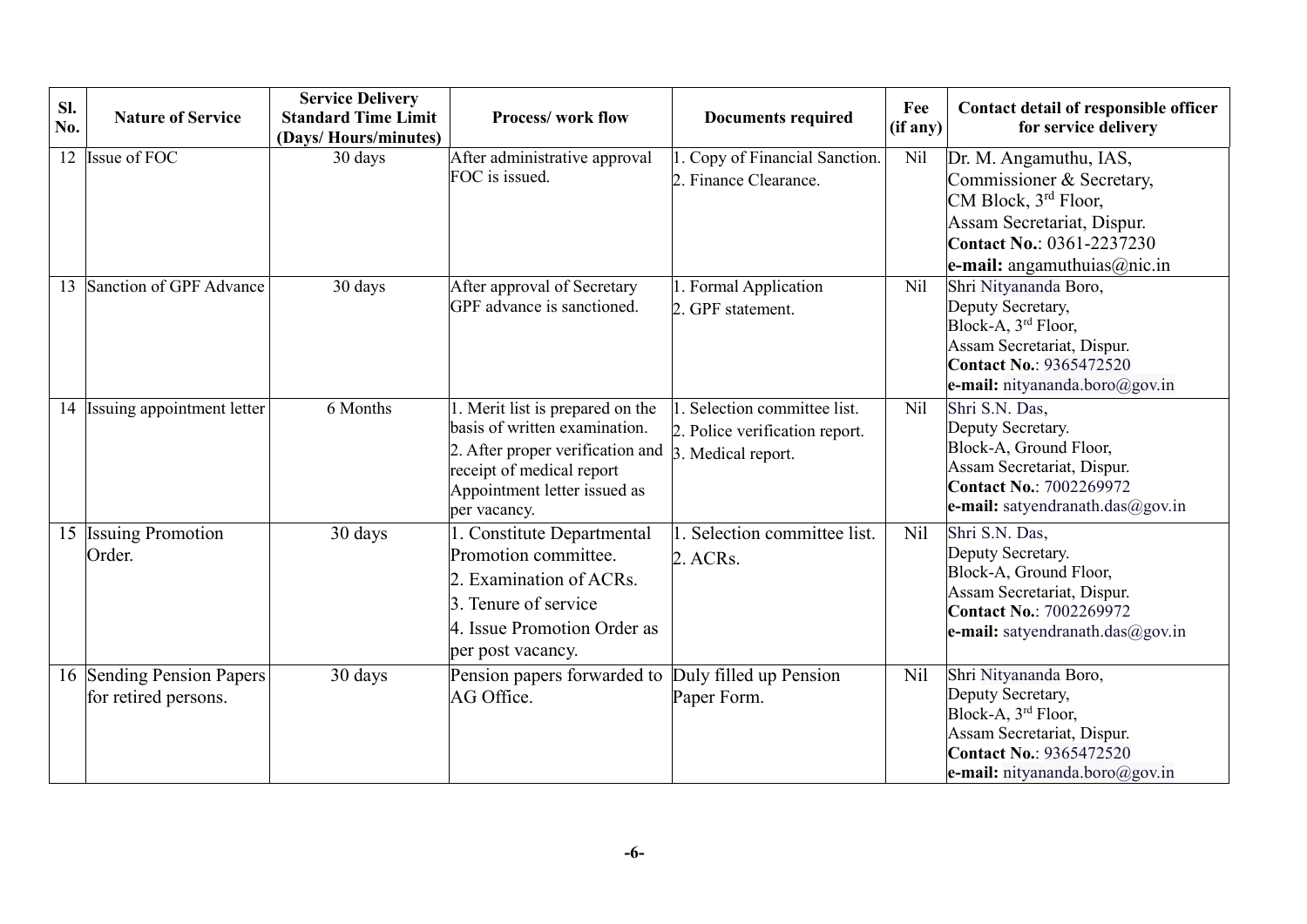| Sl.<br>No. | <b>Nature of Service</b>                          | <b>Service Delivery</b><br><b>Standard Time Limit</b><br>(Days/Hours/minutes) | <b>Process/work flow</b>                                                                                                                                                          | <b>Documents required</b>                                                         | Fee<br>(if any) | Contact detail of responsible officer<br>for service delivery                                                                                                                                       |
|------------|---------------------------------------------------|-------------------------------------------------------------------------------|-----------------------------------------------------------------------------------------------------------------------------------------------------------------------------------|-----------------------------------------------------------------------------------|-----------------|-----------------------------------------------------------------------------------------------------------------------------------------------------------------------------------------------------|
| 12         | Issue of FOC                                      | 30 days                                                                       | After administrative approval<br>FOC is issued.                                                                                                                                   | . Copy of Financial Sanction.<br>2. Finance Clearance.                            | Nil             | Dr. M. Angamuthu, IAS,<br>Commissioner & Secretary,<br>CM Block, 3 <sup>rd</sup> Floor,<br>Assam Secretariat, Dispur.<br><b>Contact No.: 0361-2237230</b><br><b>e-mail:</b> angamuthuias $@$ nic.in |
| 13         | Sanction of GPF Advance                           | 30 days                                                                       | After approval of Secretary<br>GPF advance is sanctioned.                                                                                                                         | 1. Formal Application<br>2. GPF statement.                                        | Nil             | Shri Nityananda Boro,<br>Deputy Secretary,<br>Block-A, 3 <sup>rd</sup> Floor,<br>Assam Secretariat, Dispur.<br><b>Contact No.: 9365472520</b><br>e-mail: nityananda.boro@gov.in                     |
| 14         | Issuing appointment letter                        | 6 Months                                                                      | . Merit list is prepared on the<br>basis of written examination.<br>2. After proper verification and<br>receipt of medical report<br>Appointment letter issued as<br>per vacancy. | Selection committee list.<br>2. Police verification report.<br>3. Medical report. | Nil             | Shri S.N. Das,<br>Deputy Secretary.<br>Block-A, Ground Floor,<br>Assam Secretariat, Dispur.<br><b>Contact No.: 7002269972</b><br>e-mail: satyendranath.das@gov.in                                   |
|            | 15 Issuing Promotion<br>Order.                    | 30 days                                                                       | . Constitute Departmental<br>Promotion committee.<br>2. Examination of ACRs.<br>3. Tenure of service<br>4. Issue Promotion Order as<br>per post vacancy.                          | Selection committee list.<br>2. ACRs.                                             | N <sub>il</sub> | Shri S.N. Das,<br>Deputy Secretary.<br>Block-A, Ground Floor,<br>Assam Secretariat, Dispur.<br><b>Contact No.: 7002269972</b><br>e-mail: satyendranath.das@gov.in                                   |
|            | 16 Sending Pension Papers<br>for retired persons. | 30 days                                                                       | Pension papers forwarded to<br>AG Office.                                                                                                                                         | Duly filled up Pension<br>Paper Form.                                             | N <sub>il</sub> | Shri Nityananda Boro,<br>Deputy Secretary,<br>Block-A, 3rd Floor,<br>Assam Secretariat, Dispur.<br><b>Contact No.: 9365472520</b><br>e-mail: nityananda.boro@gov.in                                 |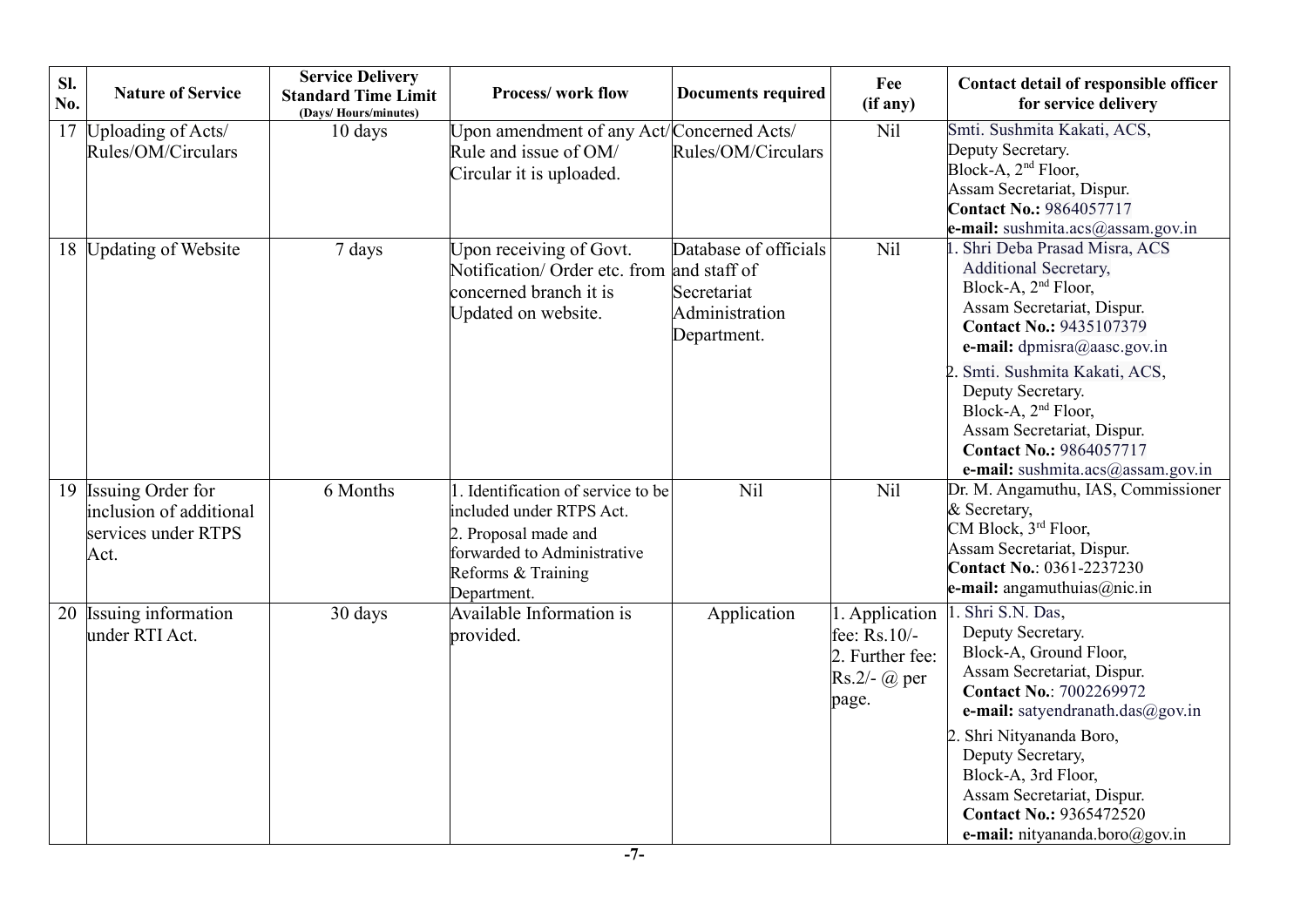| SI.<br>No. | <b>Nature of Service</b>                                                    | <b>Service Delivery</b><br><b>Standard Time Limit</b><br>(Davs/Hours/minutes) | <b>Process/work flow</b>                                                                                                                                   | <b>Documents required</b>                                             | Fee<br>(if any)                                              | Contact detail of responsible officer<br>for service delivery                                                                                                                                                                                                                                                                                                                           |
|------------|-----------------------------------------------------------------------------|-------------------------------------------------------------------------------|------------------------------------------------------------------------------------------------------------------------------------------------------------|-----------------------------------------------------------------------|--------------------------------------------------------------|-----------------------------------------------------------------------------------------------------------------------------------------------------------------------------------------------------------------------------------------------------------------------------------------------------------------------------------------------------------------------------------------|
| 17         | Uploading of Acts/<br>Rules/OM/Circulars                                    | 10 days                                                                       | Upon amendment of any Act/Concerned Acts/<br>Rule and issue of OM/<br>Circular it is uploaded.                                                             | Rules/OM/Circulars                                                    | Nil                                                          | Smti. Sushmita Kakati, ACS,<br>Deputy Secretary.<br>Block-A, 2 <sup>nd</sup> Floor,<br>Assam Secretariat, Dispur.<br><b>Contact No.: 9864057717</b><br>e-mail: sushmita.acs@assam.gov.in                                                                                                                                                                                                |
|            | 18 Updating of Website                                                      | 7 days                                                                        | Upon receiving of Govt.<br>Notification/ Order etc. from and staff of<br>concerned branch it is<br>Updated on website.                                     | Database of officials<br>Secretariat<br>Administration<br>Department. | Nil                                                          | . Shri Deba Prasad Misra, ACS<br>Additional Secretary,<br>Block-A, 2 <sup>nd</sup> Floor,<br>Assam Secretariat, Dispur.<br><b>Contact No.: 9435107379</b><br>e-mail: dpmisra@aasc.gov.in<br>2. Smti. Sushmita Kakati, ACS,<br>Deputy Secretary.<br>Block-A, 2 <sup>nd</sup> Floor,<br>Assam Secretariat, Dispur.<br><b>Contact No.: 9864057717</b><br>e-mail: sushmita.acs@assam.gov.in |
| 19         | Issuing Order for<br>inclusion of additional<br>services under RTPS<br>Act. | 6 Months                                                                      | 1. Identification of service to be<br>included under RTPS Act.<br>2. Proposal made and<br>forwarded to Administrative<br>Reforms & Training<br>Department. | Nil                                                                   | Nil                                                          | Dr. M. Angamuthu, IAS, Commissioner<br>& Secretary,<br>CM Block, 3rd Floor,<br>Assam Secretariat, Dispur.<br><b>Contact No.: 0361-2237230</b><br>e-mail: angamuthuias@nic.in                                                                                                                                                                                                            |
|            | 20 Issuing information<br>under RTI Act.                                    | 30 days                                                                       | Available Information is<br>provided.                                                                                                                      | Application                                                           | fee: $Rs.10/-$<br>2. Further fee:<br>$Rs.2/-$ @ per<br>page. | 1. Application 1. Shri S.N. Das,<br>Deputy Secretary.<br>Block-A, Ground Floor,<br>Assam Secretariat, Dispur.<br><b>Contact No.: 7002269972</b><br>e-mail: satyendranath.das@gov.in<br>2. Shri Nityananda Boro,<br>Deputy Secretary,<br>Block-A, 3rd Floor,<br>Assam Secretariat, Dispur.<br><b>Contact No.: 9365472520</b><br>e-mail: nityananda.boro@gov.in                           |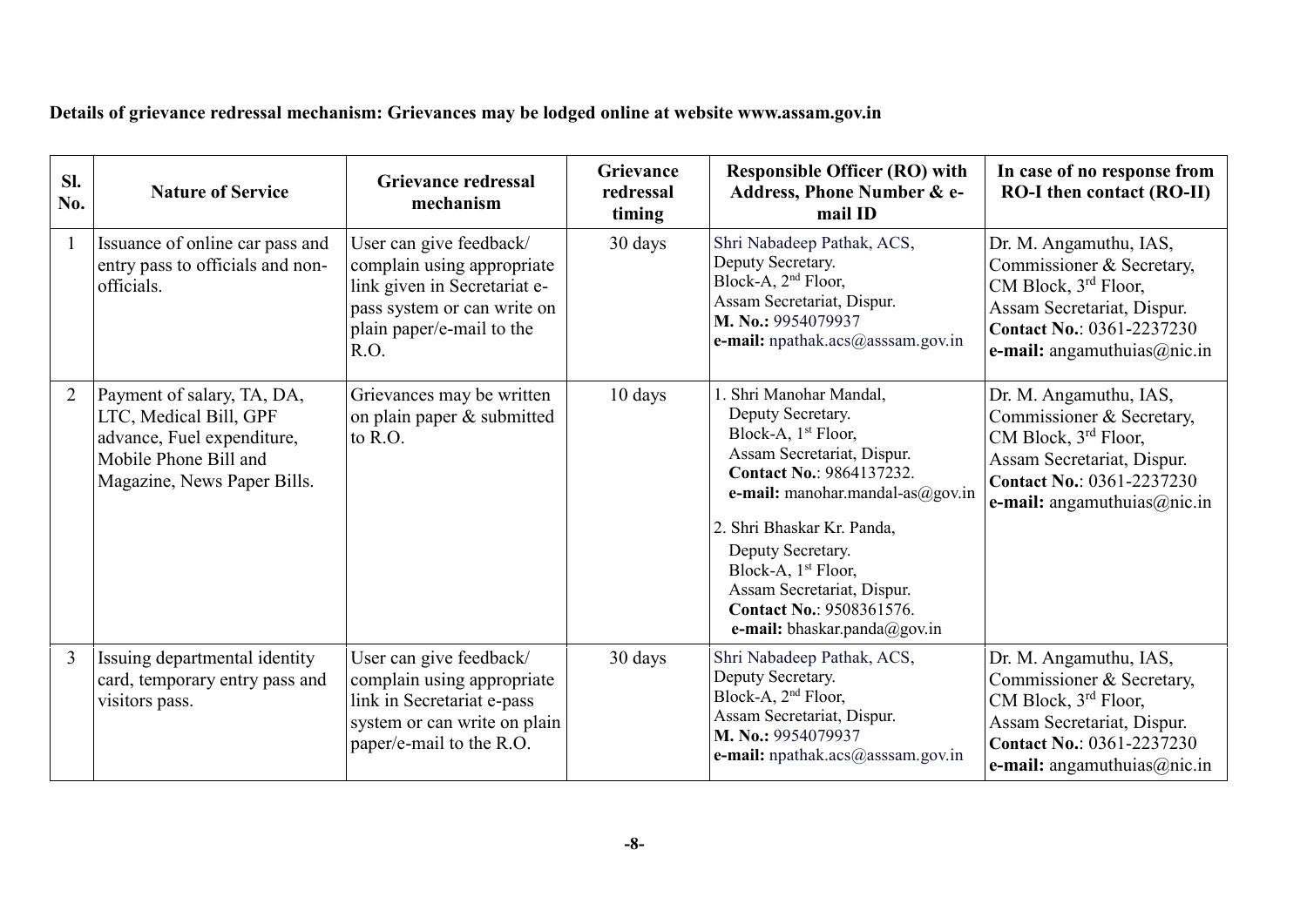**Details of grievance redressal mechanism: Grievances may be lodged online at website www.assam.gov.in**

| Sl.<br>No.     | <b>Nature of Service</b>                                                                                                                   | Grievance redressal<br>mechanism                                                                                                                          | Grievance<br>redressal<br>timing | <b>Responsible Officer (RO) with</b><br>Address, Phone Number & e-<br>mail ID                                                                                                                                                                                                                                                                                            | In case of no response from<br><b>RO-I</b> then contact (RO-II)                                                                                                                              |
|----------------|--------------------------------------------------------------------------------------------------------------------------------------------|-----------------------------------------------------------------------------------------------------------------------------------------------------------|----------------------------------|--------------------------------------------------------------------------------------------------------------------------------------------------------------------------------------------------------------------------------------------------------------------------------------------------------------------------------------------------------------------------|----------------------------------------------------------------------------------------------------------------------------------------------------------------------------------------------|
| $\mathbf{1}$   | Issuance of online car pass and<br>entry pass to officials and non-<br>officials.                                                          | User can give feedback/<br>complain using appropriate<br>link given in Secretariat e-<br>pass system or can write on<br>plain paper/e-mail to the<br>R.O. | 30 days                          | Shri Nabadeep Pathak, ACS,<br>Deputy Secretary.<br>Block-A, $2nd$ Floor,<br>Assam Secretariat, Dispur.<br>M. No.: 9954079937<br>e-mail: npathak.acs@asssam.gov.in                                                                                                                                                                                                        | Dr. M. Angamuthu, IAS,<br>Commissioner & Secretary,<br>CM Block, 3 <sup>rd</sup> Floor,<br>Assam Secretariat, Dispur.<br><b>Contact No.: 0361-2237230</b><br>e-mail: angamuthuias@nic.in     |
| $\overline{2}$ | Payment of salary, TA, DA,<br>LTC, Medical Bill, GPF<br>advance, Fuel expenditure,<br>Mobile Phone Bill and<br>Magazine, News Paper Bills. | Grievances may be written<br>on plain paper & submitted<br>to R.O.                                                                                        | 10 days                          | 1. Shri Manohar Mandal,<br>Deputy Secretary.<br>Block-A, 1 <sup>st</sup> Floor,<br>Assam Secretariat, Dispur.<br><b>Contact No.: 9864137232.</b><br>e-mail: manohar.mandal-as $@g$ ov.in<br>2. Shri Bhaskar Kr. Panda,<br>Deputy Secretary.<br>Block-A, 1 <sup>st</sup> Floor,<br>Assam Secretariat, Dispur.<br>Contact No.: 9508361576.<br>e-mail: bhaskar.panda@gov.in | Dr. M. Angamuthu, IAS,<br>Commissioner & Secretary,<br>CM Block, 3 <sup>rd</sup> Floor,<br>Assam Secretariat, Dispur.<br><b>Contact No.: 0361-2237230</b><br>e-mail: angamuthuias@nic.in     |
| $\overline{3}$ | Issuing departmental identity<br>card, temporary entry pass and<br>visitors pass.                                                          | User can give feedback/<br>complain using appropriate<br>link in Secretariat e-pass<br>system or can write on plain<br>paper/e-mail to the R.O.           | 30 days                          | Shri Nabadeep Pathak, ACS,<br>Deputy Secretary.<br>Block-A, 2 <sup>nd</sup> Floor,<br>Assam Secretariat, Dispur.<br>M. No.: 9954079937<br>e-mail: npathak.acs@asssam.gov.in                                                                                                                                                                                              | Dr. M. Angamuthu, IAS,<br>Commissioner & Secretary,<br>CM Block, 3 <sup>rd</sup> Floor,<br>Assam Secretariat, Dispur.<br><b>Contact No.: 0361-2237230</b><br>e-mail: angamuthuias $@$ nic.in |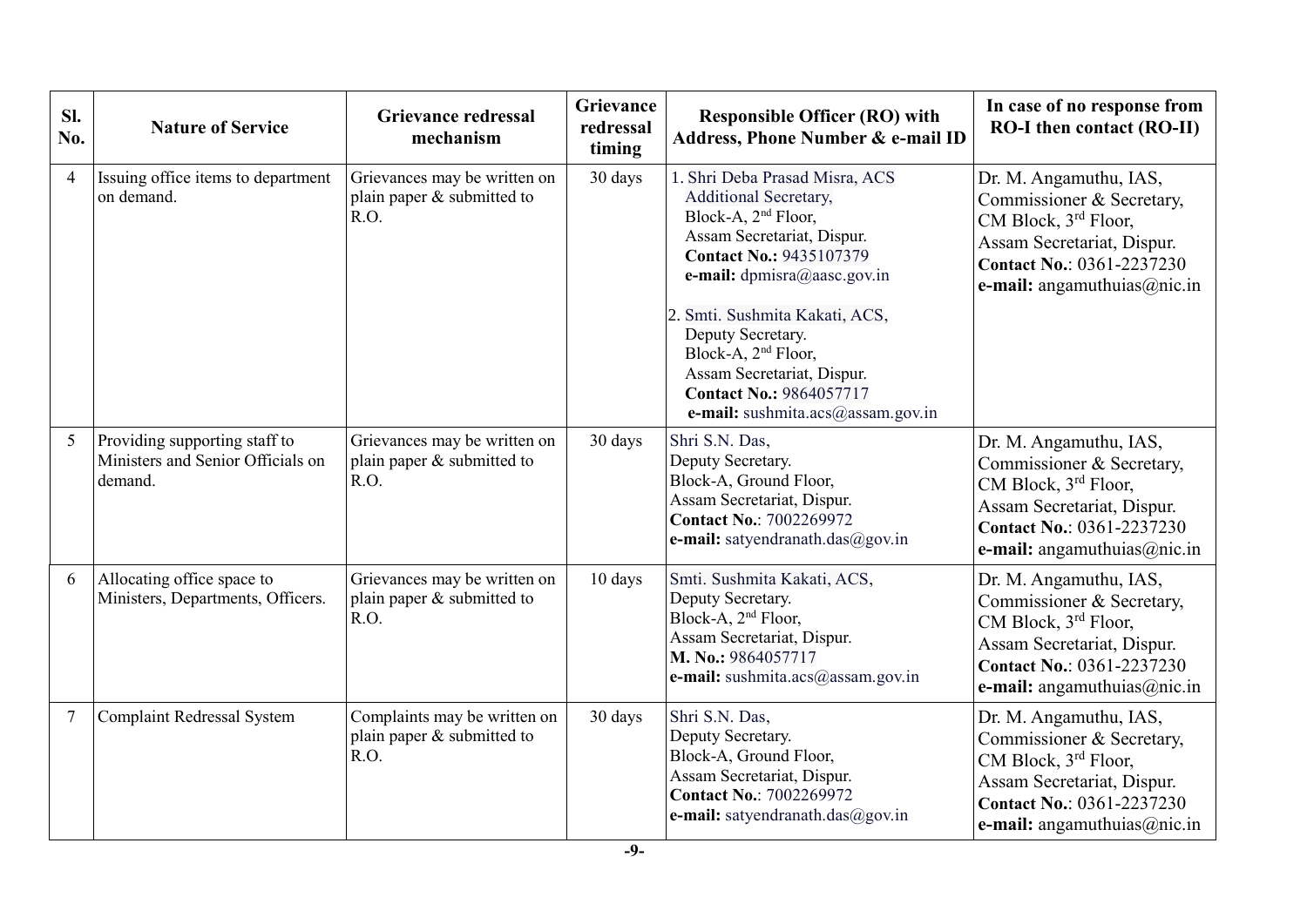| Sl.<br>No.     | <b>Nature of Service</b>                                                      | <b>Grievance redressal</b><br>mechanism                              | Grievance<br>redressal<br>timing | <b>Responsible Officer (RO) with</b><br>Address, Phone Number & e-mail ID                                                                                                                                                                                                                                                                                                                       | In case of no response from<br><b>RO-I then contact (RO-II)</b>                                                                                                                          |
|----------------|-------------------------------------------------------------------------------|----------------------------------------------------------------------|----------------------------------|-------------------------------------------------------------------------------------------------------------------------------------------------------------------------------------------------------------------------------------------------------------------------------------------------------------------------------------------------------------------------------------------------|------------------------------------------------------------------------------------------------------------------------------------------------------------------------------------------|
| $\overline{4}$ | Issuing office items to department<br>on demand.                              | Grievances may be written on<br>plain paper & submitted to<br>R.O.   | 30 days                          | 1. Shri Deba Prasad Misra, ACS<br><b>Additional Secretary,</b><br>Block-A, 2 <sup>nd</sup> Floor,<br>Assam Secretariat, Dispur.<br><b>Contact No.: 9435107379</b><br>e-mail: dpmisra@aasc.gov.in<br>2. Smti. Sushmita Kakati, ACS,<br>Deputy Secretary.<br>Block-A, 2 <sup>nd</sup> Floor,<br>Assam Secretariat, Dispur.<br><b>Contact No.: 9864057717</b><br>e-mail: sushmita.acs@assam.gov.in | Dr. M. Angamuthu, IAS,<br>Commissioner & Secretary,<br>CM Block, 3 <sup>rd</sup> Floor,<br>Assam Secretariat, Dispur.<br><b>Contact No.: 0361-2237230</b><br>e-mail: angamuthuias@nic.in |
| 5              | Providing supporting staff to<br>Ministers and Senior Officials on<br>demand. | Grievances may be written on<br>plain paper & submitted to<br>R.O.   | 30 days                          | Shri S.N. Das,<br>Deputy Secretary.<br>Block-A, Ground Floor,<br>Assam Secretariat, Dispur.<br><b>Contact No.: 7002269972</b><br>e-mail: satyendranath.das@gov.in                                                                                                                                                                                                                               | Dr. M. Angamuthu, IAS,<br>Commissioner & Secretary,<br>CM Block, 3 <sup>rd</sup> Floor,<br>Assam Secretariat, Dispur.<br><b>Contact No.: 0361-2237230</b><br>e-mail: angamuthuias@nic.in |
| 6              | Allocating office space to<br>Ministers, Departments, Officers.               | Grievances may be written on<br>plain paper & submitted to<br>R.O.   | 10 days                          | Smti. Sushmita Kakati, ACS,<br>Deputy Secretary.<br>Block-A, 2 <sup>nd</sup> Floor,<br>Assam Secretariat, Dispur.<br>M. No.: 9864057717<br>e-mail: sushmita.acs@assam.gov.in                                                                                                                                                                                                                    | Dr. M. Angamuthu, IAS,<br>Commissioner & Secretary,<br>CM Block, 3rd Floor,<br>Assam Secretariat, Dispur.<br><b>Contact No.: 0361-2237230</b><br>e-mail: angamuthuias@nic.in             |
| $\overline{7}$ | <b>Complaint Redressal System</b>                                             | Complaints may be written on<br>plain paper $&$ submitted to<br>R.O. | 30 days                          | Shri S.N. Das,<br>Deputy Secretary.<br>Block-A, Ground Floor,<br>Assam Secretariat, Dispur.<br><b>Contact No.: 7002269972</b><br>e-mail: satyendranath.das@gov.in                                                                                                                                                                                                                               | Dr. M. Angamuthu, IAS,<br>Commissioner & Secretary,<br>CM Block, 3rd Floor,<br>Assam Secretariat, Dispur.<br><b>Contact No.: 0361-2237230</b><br>e-mail: angamuthuias@nic.in             |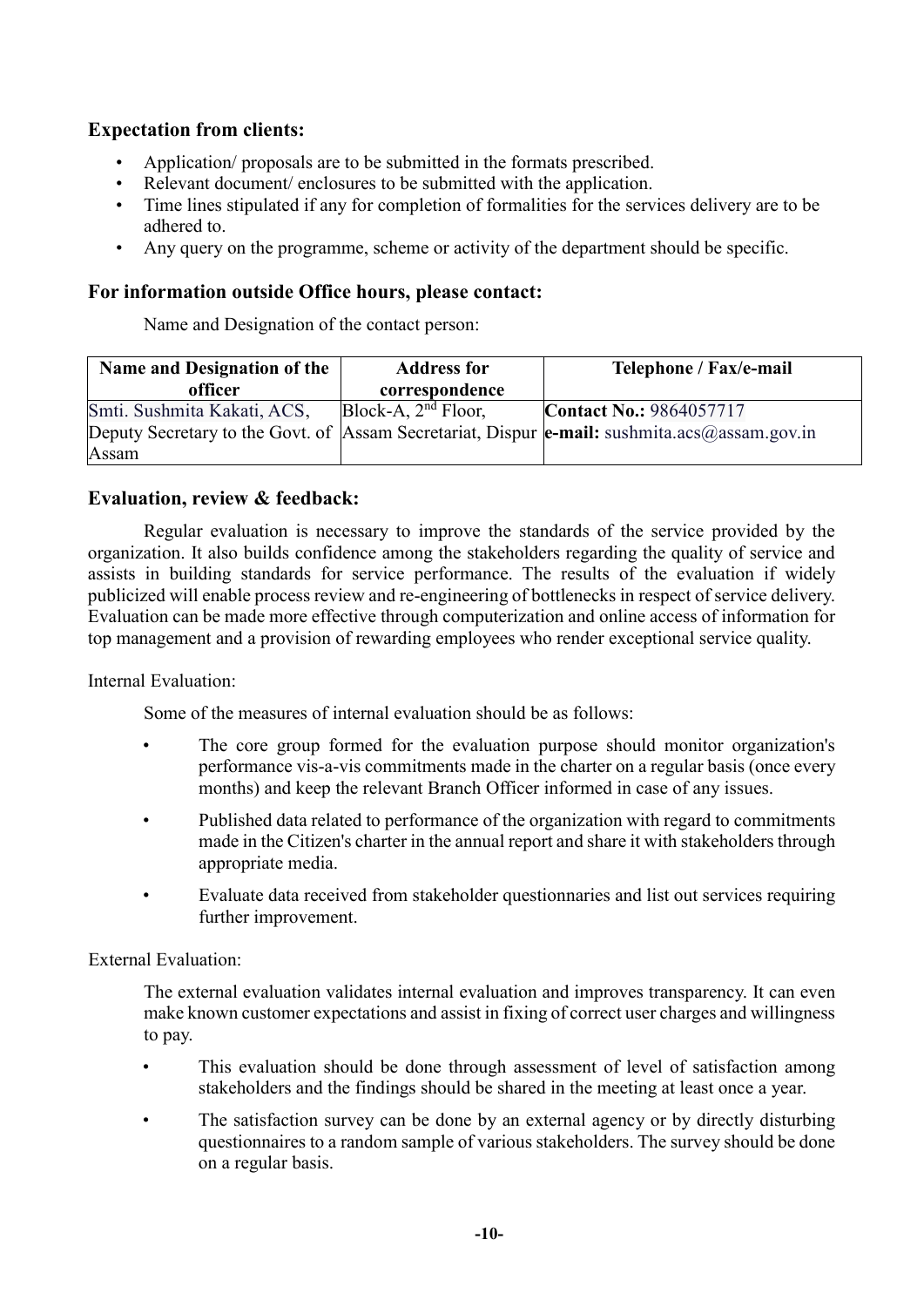# **Expectation from clients:**

- Application/ proposals are to be submitted in the formats prescribed.
- Relevant document/ enclosures to be submitted with the application.
- Time lines stipulated if any for completion of formalities for the services delivery are to be adhered to.
- Any query on the programme, scheme or activity of the department should be specific.

### **For information outside Office hours, please contact:**

Name and Designation of the contact person:

| Name and Designation of the | <b>Address for</b>        | Telephone / Fax/e-mail                                                                                  |
|-----------------------------|---------------------------|---------------------------------------------------------------------------------------------------------|
| officer                     | correspondence            |                                                                                                         |
| Smti. Sushmita Kakati, ACS, | $Block-A$ , $2nd Floor$ , | <b>Contact No.: 9864057717</b>                                                                          |
|                             |                           | Deputy Secretary to the Govt. of Assam Secretariat, Dispur $ e\text{-mail:}$ sushmita.acs @assam.gov.in |
| Assam                       |                           |                                                                                                         |

#### **Evaluation, review & feedback:**

Regular evaluation is necessary to improve the standards of the service provided by the organization. It also builds confidence among the stakeholders regarding the quality of service and assists in building standards for service performance. The results of the evaluation if widely publicized will enable process review and re-engineering of bottlenecks in respect of service delivery. Evaluation can be made more effective through computerization and online access of information for top management and a provision of rewarding employees who render exceptional service quality.

Internal Evaluation:

Some of the measures of internal evaluation should be as follows:

- The core group formed for the evaluation purpose should monitor organization's performance vis-a-vis commitments made in the charter on a regular basis (once every months) and keep the relevant Branch Officer informed in case of any issues.
- Published data related to performance of the organization with regard to commitments made in the Citizen's charter in the annual report and share it with stakeholders through appropriate media.
- Evaluate data received from stakeholder questionnaries and list out services requiring further improvement.

### External Evaluation:

The external evaluation validates internal evaluation and improves transparency. It can even make known customer expectations and assist in fixing of correct user charges and willingness to pay.

- This evaluation should be done through assessment of level of satisfaction among stakeholders and the findings should be shared in the meeting at least once a year.
- The satisfaction survey can be done by an external agency or by directly disturbing questionnaires to a random sample of various stakeholders. The survey should be done on a regular basis.